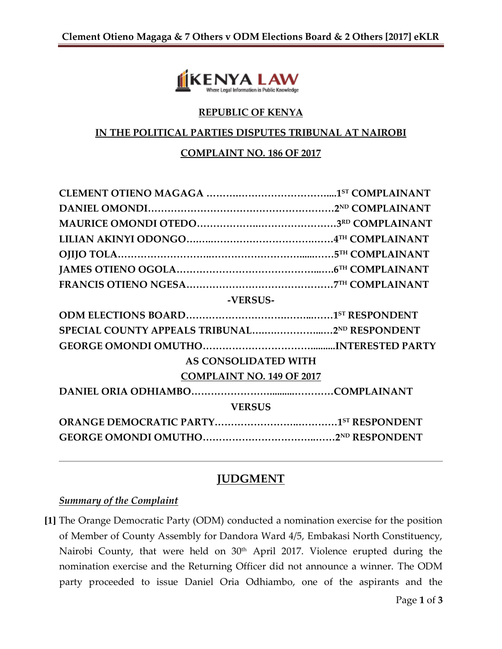

### **REPUBLIC OF KENYA**

#### **IN THE POLITICAL PARTIES DISPUTES TRIBUNAL AT NAIROBI**

#### **COMPLAINT NO. 186 OF 2017**

| SPECIAL COUNTY APPEALS TRIBUNAL2ND RESPONDENT |
|-----------------------------------------------|
|                                               |
|                                               |
|                                               |
|                                               |
|                                               |
|                                               |
|                                               |
|                                               |

# **JUDGMENT**

#### *Summary of the Complaint*

**[1]** The Orange Democratic Party (ODM) conducted a nomination exercise for the position of Member of County Assembly for Dandora Ward 4/5, Embakasi North Constituency, Nairobi County, that were held on 30<sup>th</sup> April 2017. Violence erupted during the nomination exercise and the Returning Officer did not announce a winner. The ODM party proceeded to issue Daniel Oria Odhiambo, one of the aspirants and the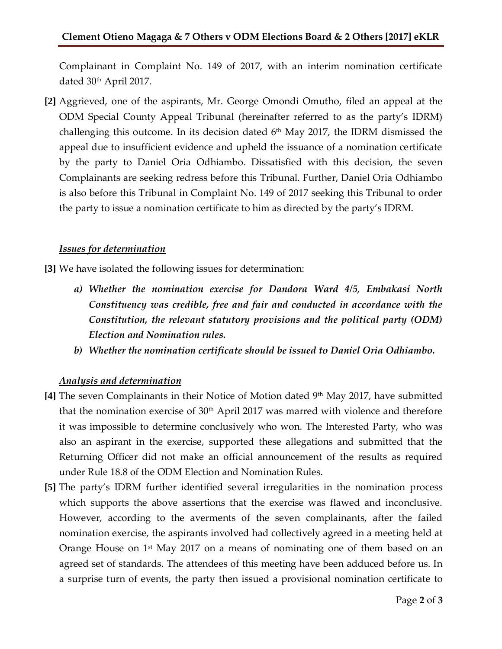Complainant in Complaint No. 149 of 2017, with an interim nomination certificate dated 30<sup>th</sup> April 2017.

**[2]** Aggrieved, one of the aspirants, Mr. George Omondi Omutho, filed an appeal at the ODM Special County Appeal Tribunal (hereinafter referred to as the party's IDRM) challenging this outcome. In its decision dated  $6<sup>th</sup>$  May 2017, the IDRM dismissed the appeal due to insufficient evidence and upheld the issuance of a nomination certificate by the party to Daniel Oria Odhiambo. Dissatisfied with this decision, the seven Complainants are seeking redress before this Tribunal. Further, Daniel Oria Odhiambo is also before this Tribunal in Complaint No. 149 of 2017 seeking this Tribunal to order the party to issue a nomination certificate to him as directed by the party's IDRM.

### *Issues for determination*

**[3]** We have isolated the following issues for determination:

- *a) Whether the nomination exercise for Dandora Ward 4/5, Embakasi North Constituency was credible, free and fair and conducted in accordance with the Constitution, the relevant statutory provisions and the political party (ODM) Election and Nomination rules.*
- *b) Whether the nomination certificate should be issued to Daniel Oria Odhiambo.*

# *Analysis and determination*

- **[4]** The seven Complainants in their Notice of Motion dated 9th May 2017, have submitted that the nomination exercise of  $30<sup>th</sup>$  April 2017 was marred with violence and therefore it was impossible to determine conclusively who won. The Interested Party, who was also an aspirant in the exercise, supported these allegations and submitted that the Returning Officer did not make an official announcement of the results as required under Rule 18.8 of the ODM Election and Nomination Rules.
- **[5]** The party's IDRM further identified several irregularities in the nomination process which supports the above assertions that the exercise was flawed and inconclusive. However, according to the averments of the seven complainants, after the failed nomination exercise, the aspirants involved had collectively agreed in a meeting held at Orange House on 1st May 2017 on a means of nominating one of them based on an agreed set of standards. The attendees of this meeting have been adduced before us. In a surprise turn of events, the party then issued a provisional nomination certificate to